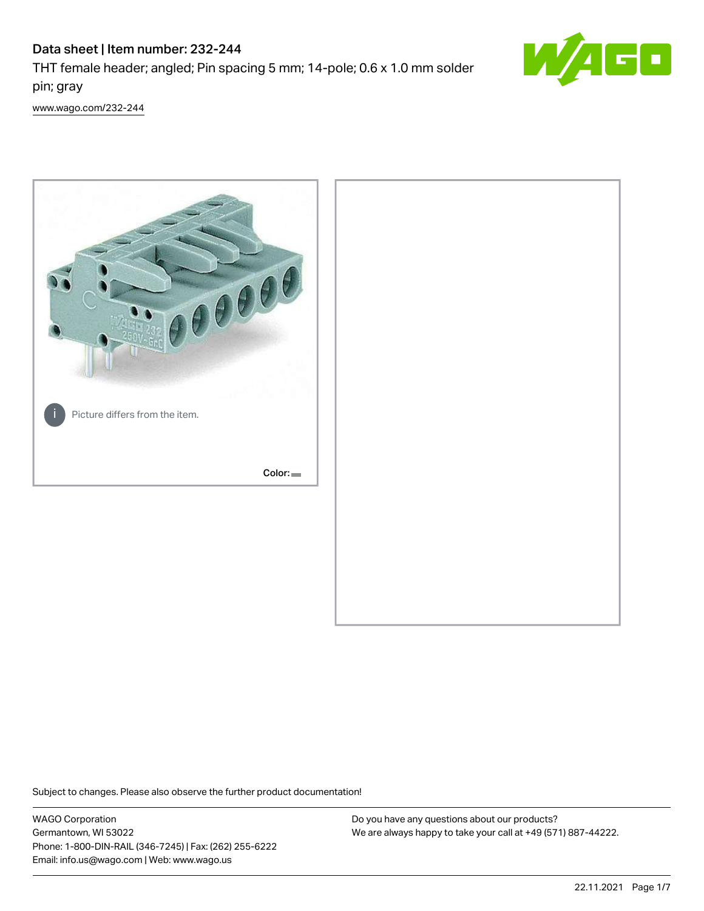# Data sheet | Item number: 232-244

THT female header; angled; Pin spacing 5 mm; 14-pole; 0.6 x 1.0 mm solder pin; gray



[www.wago.com/232-244](http://www.wago.com/232-244)



Subject to changes. Please also observe the further product documentation!

WAGO Corporation Germantown, WI 53022 Phone: 1-800-DIN-RAIL (346-7245) | Fax: (262) 255-6222 Email: info.us@wago.com | Web: www.wago.us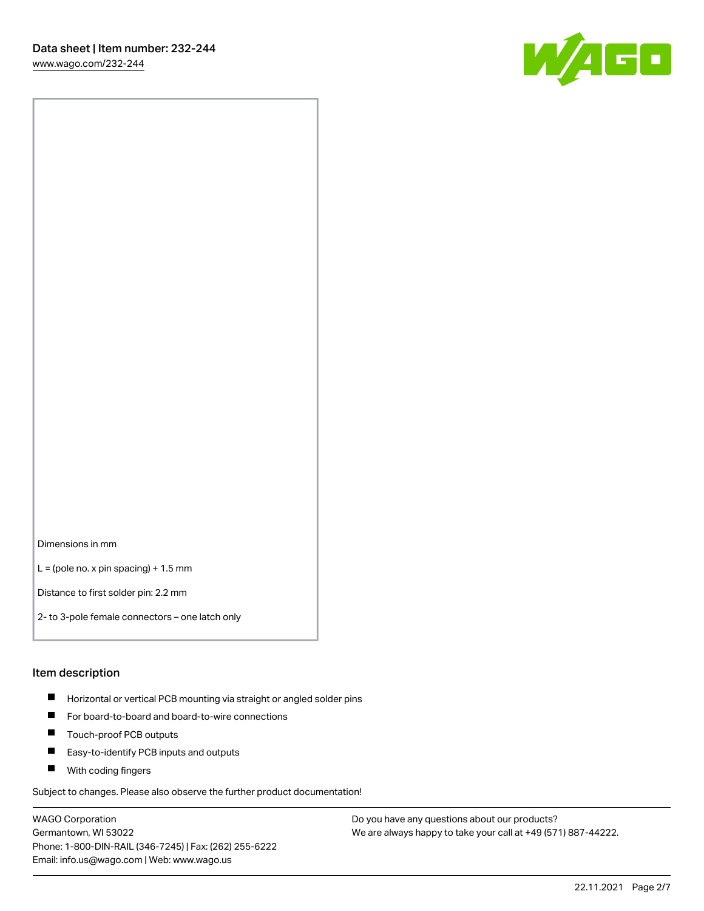[www.wago.com/232-244](http://www.wago.com/232-244)



Dimensions in mm

 $L =$  (pole no. x pin spacing) + 1.5 mm

Distance to first solder pin: 2.2 mm

2- to 3-pole female connectors – one latch only

#### Item description

- **Horizontal or vertical PCB mounting via straight or angled solder pins**
- For board-to-board and board-to-wire connections
- $\blacksquare$ Touch-proof PCB outputs
- $\blacksquare$ Easy-to-identify PCB inputs and outputs
- **Now With coding fingers**

Subject to changes. Please also observe the further product documentation!

WAGO Corporation Germantown, WI 53022 Phone: 1-800-DIN-RAIL (346-7245) | Fax: (262) 255-6222 Email: info.us@wago.com | Web: www.wago.us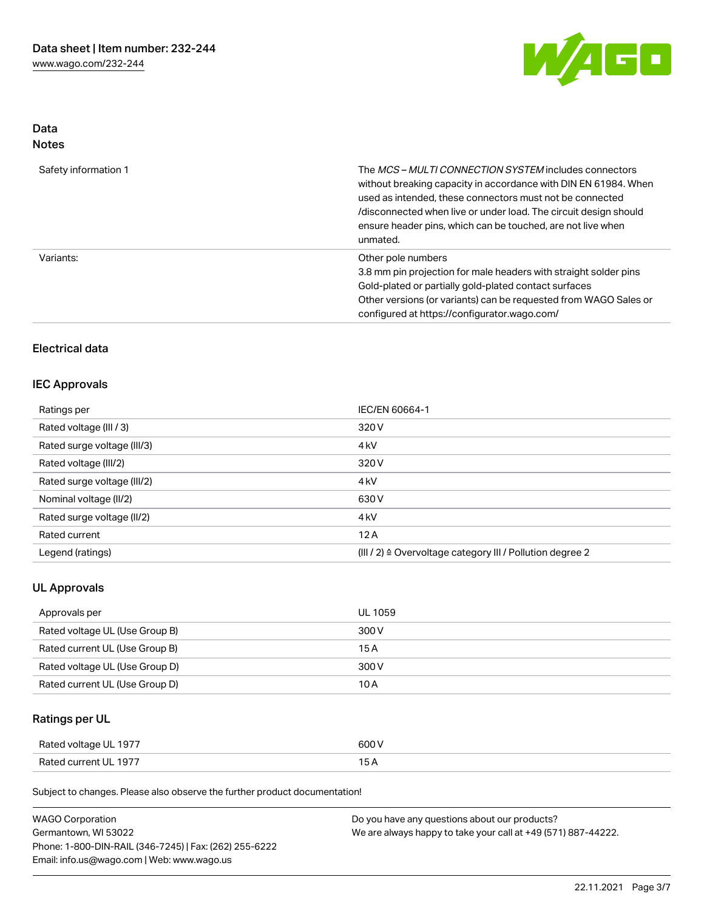

# Data Notes

| Safety information 1 | The <i>MCS – MULTI CONNECTION SYSTEM</i> includes connectors<br>without breaking capacity in accordance with DIN EN 61984. When<br>used as intended, these connectors must not be connected<br>/disconnected when live or under load. The circuit design should<br>ensure header pins, which can be touched, are not live when<br>unmated. |
|----------------------|--------------------------------------------------------------------------------------------------------------------------------------------------------------------------------------------------------------------------------------------------------------------------------------------------------------------------------------------|
| Variants:            | Other pole numbers<br>3.8 mm pin projection for male headers with straight solder pins<br>Gold-plated or partially gold-plated contact surfaces<br>Other versions (or variants) can be requested from WAGO Sales or<br>configured at https://configurator.wago.com/                                                                        |

# Electrical data

# IEC Approvals

| Ratings per                 | IEC/EN 60664-1                                                       |  |
|-----------------------------|----------------------------------------------------------------------|--|
| Rated voltage (III / 3)     | 320 V                                                                |  |
| Rated surge voltage (III/3) | 4 <sub>k</sub> V                                                     |  |
| Rated voltage (III/2)       | 320 V                                                                |  |
| Rated surge voltage (III/2) | 4 <sub>k</sub> V                                                     |  |
| Nominal voltage (II/2)      | 630 V                                                                |  |
| Rated surge voltage (II/2)  | 4 <sub>k</sub> V                                                     |  |
| Rated current               | 12A                                                                  |  |
| Legend (ratings)            | (III / 2) $\triangleq$ Overvoltage category III / Pollution degree 2 |  |

# UL Approvals

| Approvals per                  | UL 1059 |
|--------------------------------|---------|
| Rated voltage UL (Use Group B) | 300 V   |
| Rated current UL (Use Group B) | 15 A    |
| Rated voltage UL (Use Group D) | 300 V   |
| Rated current UL (Use Group D) | 10 A    |

# Ratings per UL

| Rated voltage UL 1977 | 600 V |
|-----------------------|-------|
| Rated current UL 1977 |       |

Subject to changes. Please also observe the further product documentation!

| <b>WAGO Corporation</b>                                | Do you have any questions about our products?                 |
|--------------------------------------------------------|---------------------------------------------------------------|
| Germantown, WI 53022                                   | We are always happy to take your call at +49 (571) 887-44222. |
| Phone: 1-800-DIN-RAIL (346-7245)   Fax: (262) 255-6222 |                                                               |
| Email: info.us@wago.com   Web: www.wago.us             |                                                               |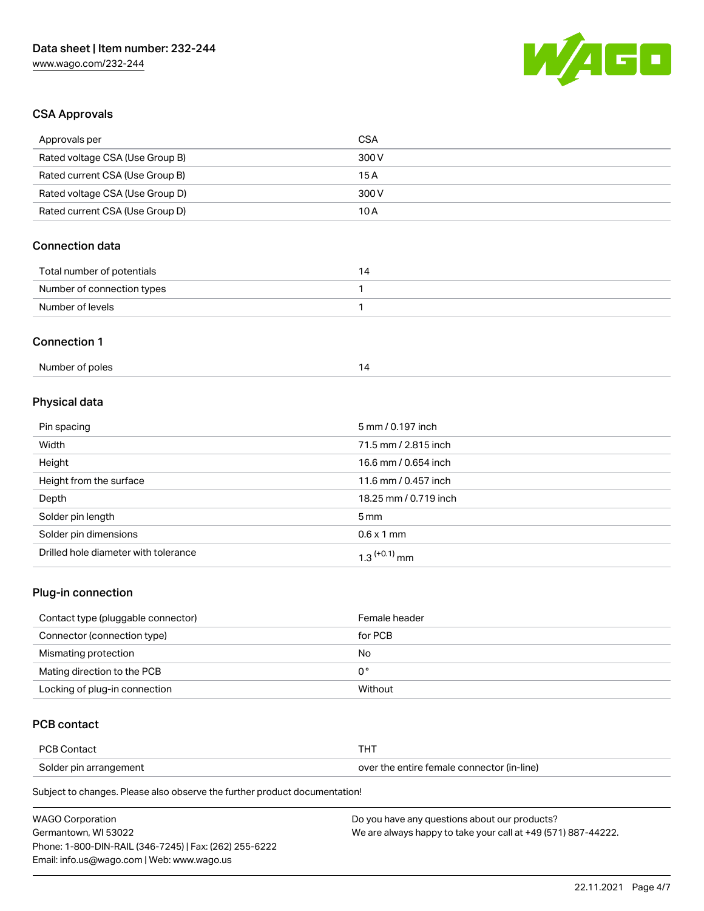

# CSA Approvals

| Approvals per                   | <b>CSA</b>            |
|---------------------------------|-----------------------|
| Rated voltage CSA (Use Group B) | 300V                  |
| Rated current CSA (Use Group B) | 15A                   |
| Rated voltage CSA (Use Group D) | 300 V                 |
| Rated current CSA (Use Group D) | 10A                   |
| <b>Connection data</b>          |                       |
| Total number of potentials      | 14                    |
| Number of connection types      | 1                     |
| Number of levels                | 1                     |
| <b>Connection 1</b>             |                       |
| Number of poles                 | 14                    |
| Physical data                   |                       |
| Pin spacing                     | 5 mm / 0.197 inch     |
| Width                           | 71.5 mm / 2.815 inch  |
| Height                          | 16.6 mm / 0.654 inch  |
| Height from the surface         | 11.6 mm / 0.457 inch  |
| Depth                           | 18.25 mm / 0.719 inch |

| Solder pin length                    | 5 <sub>mm</sub>            |
|--------------------------------------|----------------------------|
| Solder pin dimensions                | $0.6 \times 1$ mm          |
| Drilled hole diameter with tolerance | $1.3$ <sup>(+0.1)</sup> mm |

# Plug-in connection

| Contact type (pluggable connector) | Female header |
|------------------------------------|---------------|
| Connector (connection type)        | for PCB       |
| Mismating protection               | No            |
| Mating direction to the PCB        | 0°            |
| Locking of plug-in connection      | Without       |

# PCB contact

| <b>PCB Contact</b>     | п.                                         |
|------------------------|--------------------------------------------|
| Solder pin arrangement | over the entire female connector (in-line) |

Subject to changes. Please also observe the further product documentation!

| <b>WAGO Corporation</b>                                | Do you have any questions about our products?                 |
|--------------------------------------------------------|---------------------------------------------------------------|
| Germantown. WI 53022                                   | We are always happy to take your call at +49 (571) 887-44222. |
| Phone: 1-800-DIN-RAIL (346-7245)   Fax: (262) 255-6222 |                                                               |
| Email: info.us@wago.com   Web: www.wago.us             |                                                               |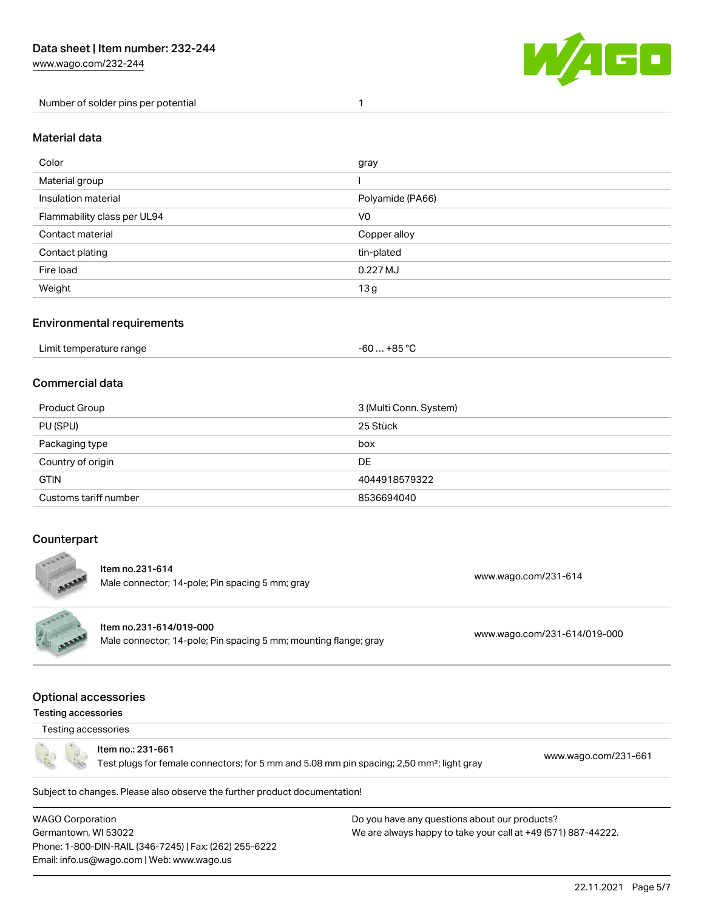[www.wago.com/232-244](http://www.wago.com/232-244)

Number of solder pins per potential 1



#### Material data

| Color                       | gray             |
|-----------------------------|------------------|
| Material group              |                  |
| Insulation material         | Polyamide (PA66) |
| Flammability class per UL94 | V <sub>0</sub>   |
| Contact material            | Copper alloy     |
| Contact plating             | tin-plated       |
| Fire load                   | 0.227 MJ         |
| Weight                      | 13g              |

## Environmental requirements

| Limit temperature range<br>. | . +85 °C<br>-60 |  |
|------------------------------|-----------------|--|
|------------------------------|-----------------|--|

## Commercial data

| Product Group         | 3 (Multi Conn. System) |
|-----------------------|------------------------|
| PU (SPU)              | 25 Stück               |
| Packaging type        | box                    |
| Country of origin     | DE                     |
| <b>GTIN</b>           | 4044918579322          |
| Customs tariff number | 8536694040             |

# **Counterpart**



Subject to changes. Please also observe the further product documentation!

WAGO Corporation Germantown, WI 53022 Phone: 1-800-DIN-RAIL (346-7245) | Fax: (262) 255-6222 Email: info.us@wago.com | Web: www.wago.us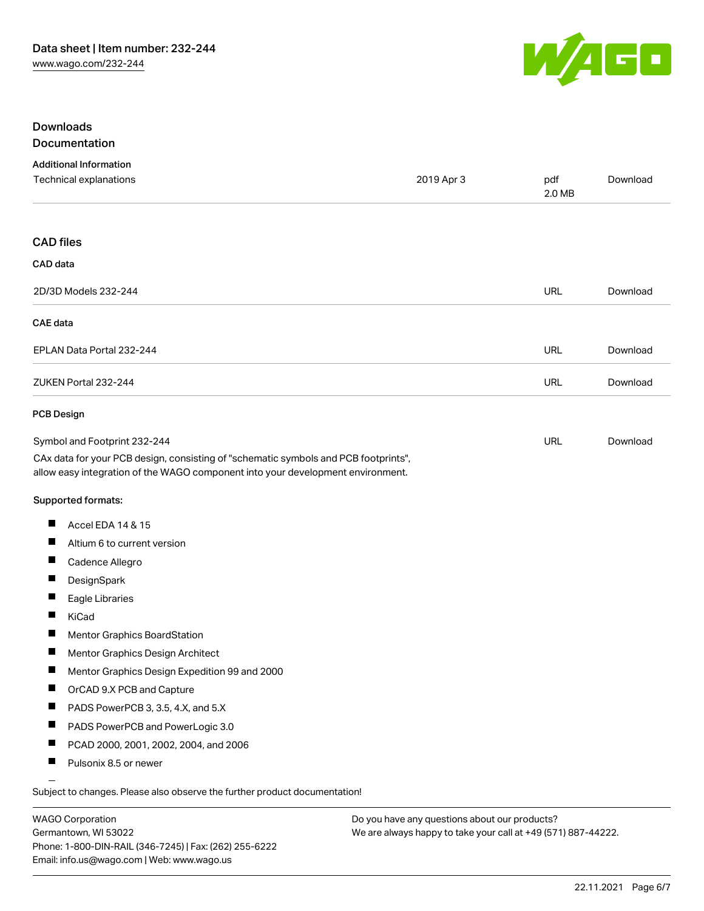

# Downloads Documentation

# Additional Information Technical explanations 2019 Apr 3 pdf [Download](https://www.wago.com/global/d/1435602) 2.0 MB CAD files CAD data 2D/3D Models 232-244 URL [Download](https://www.wago.com/global/d/3D_URLS_232-244) CAE data EPLAN Data Portal 232-244 URL [Download](https://www.wago.com/global/d/EPLAN_URLS_232-244) ZUKEN Portal 232-244 URL [Download](https://www.wago.com/global/d/Zuken_URLS_232-244) PCB Design Symbol and Footprint 232-244 URL [Download](https://www.wago.com/global/d/UltraLibrarian_URLS_232-244)CAx data for your PCB design, consisting of "schematic symbols and PCB footprints", allow easy integration of the WAGO component into your development environment. Supported formats:  $\blacksquare$ Accel EDA 14 & 15 П Altium 6 to current version П Cadence Allegro П **DesignSpark**  $\blacksquare$ Eagle Libraries  $\blacksquare$ KiCad  $\blacksquare$ Mentor Graphics BoardStation П Mentor Graphics Design Architect П Mentor Graphics Design Expedition 99 and 2000  $\blacksquare$ OrCAD 9.X PCB and Capture  $\blacksquare$ PADS PowerPCB 3, 3.5, 4.X, and 5.X  $\blacksquare$ PADS PowerPCB and PowerLogic 3.0 П PCAD 2000, 2001, 2002, 2004, and 2006 П Pulsonix 8.5 or newer

Subject to changes. Please also observe the further product documentation!

WAGO Corporation Germantown, WI 53022 Phone: 1-800-DIN-RAIL (346-7245) | Fax: (262) 255-6222 Email: info.us@wago.com | Web: www.wago.us